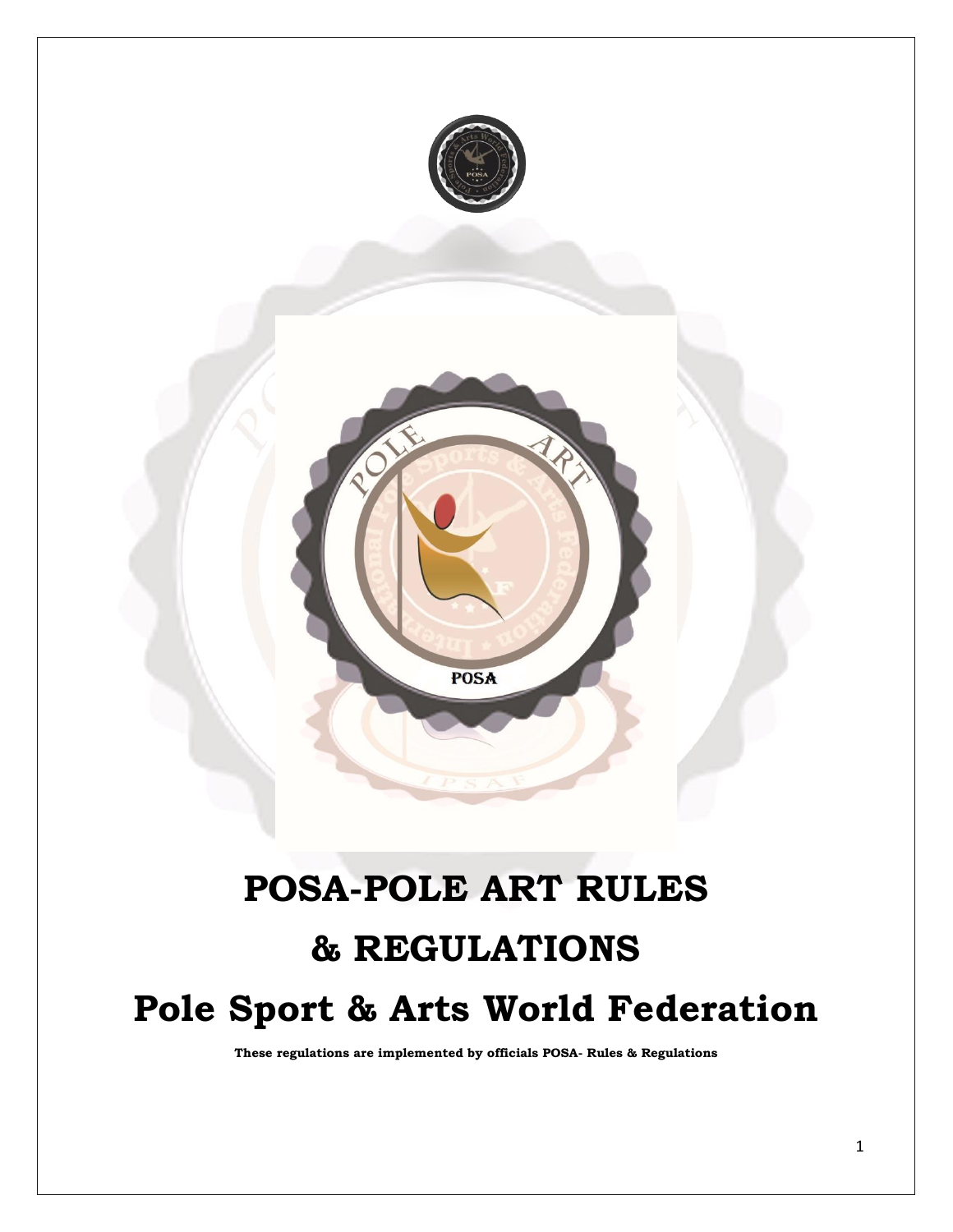

# **POSA-POLE ART RULES & REGULATIONS Pole Sport & Arts World Federation**

POSA

**These regulations are implemented by officials POSA- Rules & Regulations**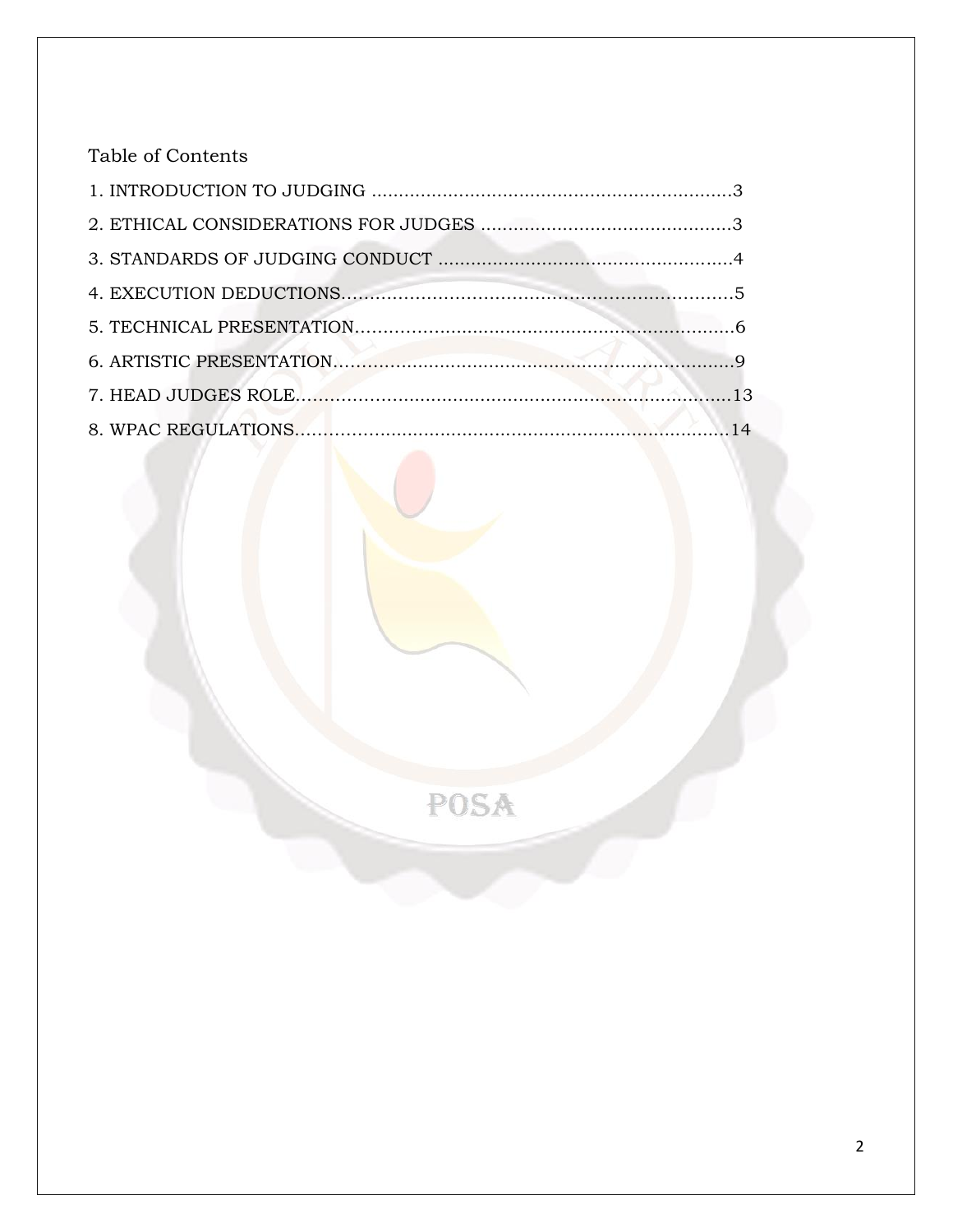### Table of Contents

POSA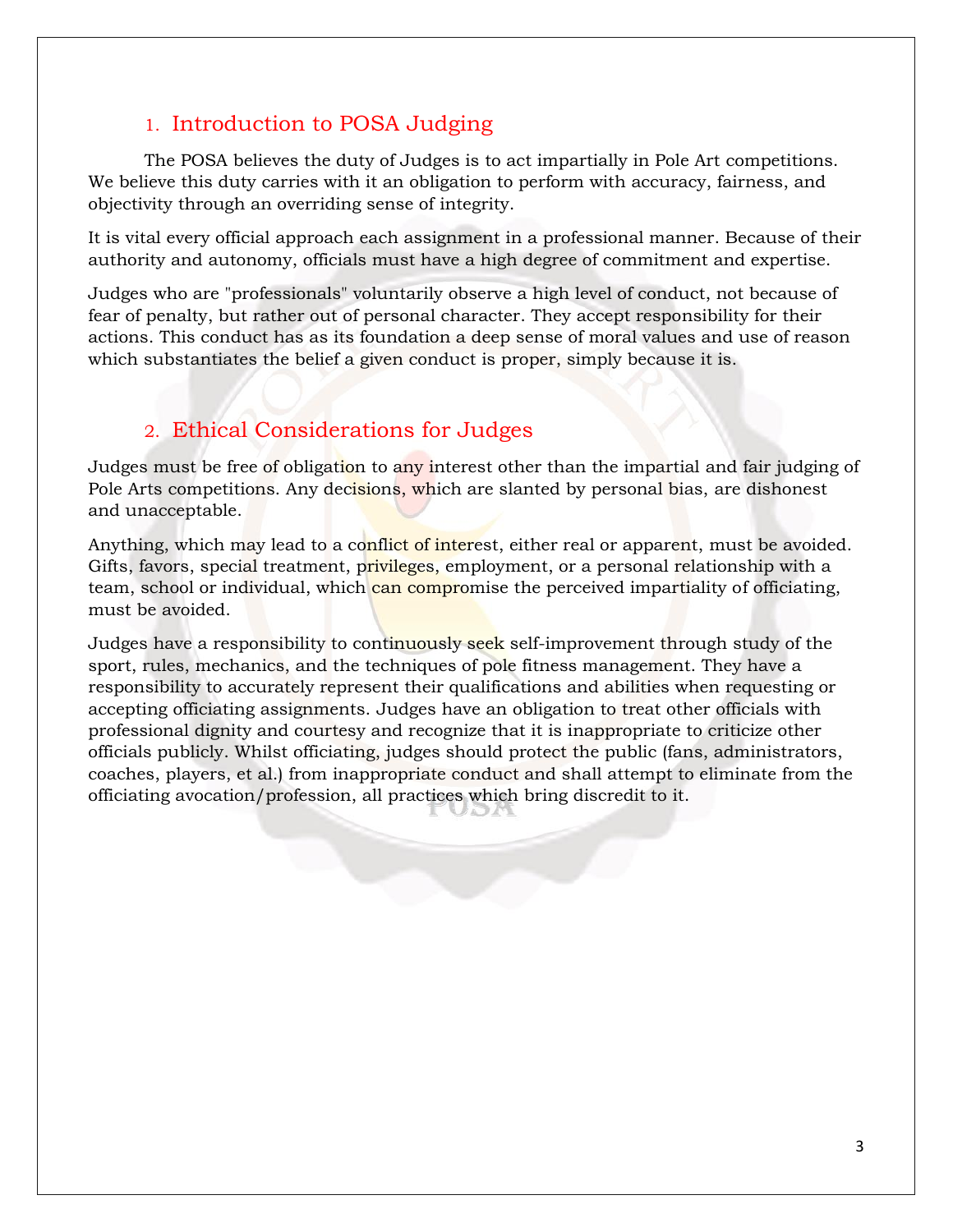### 1. Introduction to POSA Judging

The POSA believes the duty of Judges is to act impartially in Pole Art competitions. We believe this duty carries with it an obligation to perform with accuracy, fairness, and objectivity through an overriding sense of integrity.

It is vital every official approach each assignment in a professional manner. Because of their authority and autonomy, officials must have a high degree of commitment and expertise.

Judges who are "professionals" voluntarily observe a high level of conduct, not because of fear of penalty, but rather out of personal character. They accept responsibility for their actions. This conduct has as its foundation a deep sense of moral values and use of reason which substantiates the belief a given conduct is proper, simply because it is.

### 2. Ethical Considerations for Judges

Judges must be free of obligation to any interest other than the impartial and fair judging of Pole Arts competitions. Any decisions, which are slanted by personal bias, are dishonest and unacceptable.

Anything, which may lead to a conflict of interest, either real or apparent, must be avoided. Gifts, favors, special treatment, privileges, employment, or a personal relationship with a team, school or individual, which can compromise the perceived impartiality of officiating, must be avoided.

Judges have a responsibility to continuously seek self-improvement through study of the sport, rules, mechanics, and the techniques of pole fitness management. They have a responsibility to accurately represent their qualifications and abilities when requesting or accepting officiating assignments. Judges have an obligation to treat other officials with professional dignity and courtesy and recognize that it is inappropriate to criticize other officials publicly. Whilst officiating, judges should protect the public (fans, administrators, coaches, players, et al.) from inappropriate conduct and shall attempt to eliminate from the officiating avocation/profession, all practices which bring discredit to it.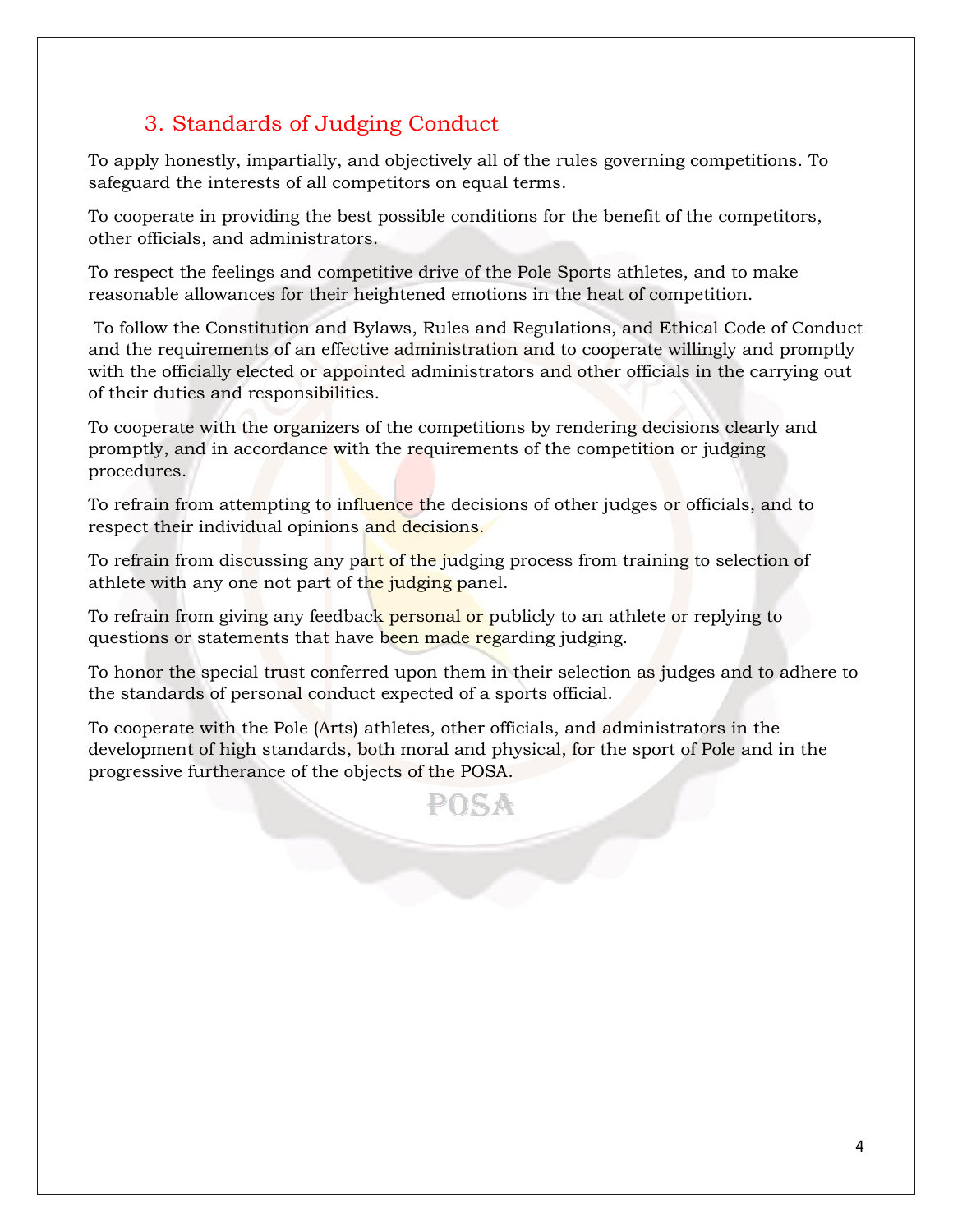### 3. Standards of Judging Conduct

To apply honestly, impartially, and objectively all of the rules governing competitions. To safeguard the interests of all competitors on equal terms.

To cooperate in providing the best possible conditions for the benefit of the competitors, other officials, and administrators.

To respect the feelings and competitive drive of the Pole Sports athletes, and to make reasonable allowances for their heightened emotions in the heat of competition.

To follow the Constitution and Bylaws, Rules and Regulations, and Ethical Code of Conduct and the requirements of an effective administration and to cooperate willingly and promptly with the officially elected or appointed administrators and other officials in the carrying out of their duties and responsibilities.

To cooperate with the organizers of the competitions by rendering decisions clearly and promptly, and in accordance with the requirements of the competition or judging procedures.

To refrain from attempting to influence the decisions of other judges or officials, and to respect their individual opinions and decisions.

To refrain from discussing any part of the judging process from training to selection of athlete with any one not part of the judging panel.

To refrain from giving any feedback personal or publicly to an athlete or replying to questions or statements that have been made regarding judging.

To honor the special trust conferred upon them in their selection as judges and to adhere to the standards of personal conduct expected of a sports official.

To cooperate with the Pole (Arts) athletes, other officials, and administrators in the development of high standards, both moral and physical, for the sport of Pole and in the progressive furtherance of the objects of the POSA.

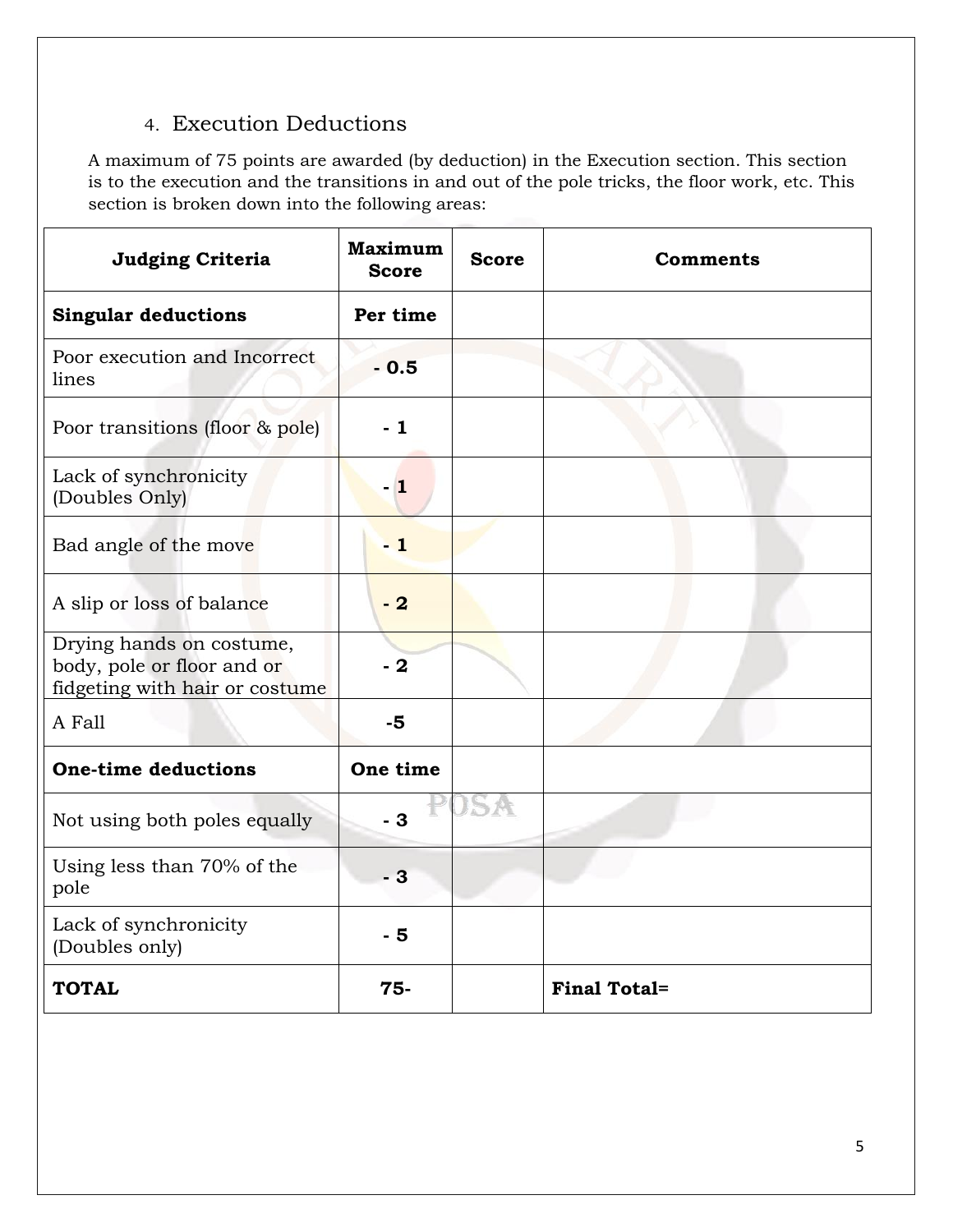### 4. Execution Deductions

A maximum of 75 points are awarded (by deduction) in the Execution section. This section is to the execution and the transitions in and out of the pole tricks, the floor work, etc. This section is broken down into the following areas:

| <b>Judging Criteria</b>                                                                  | <b>Maximum</b><br><b>Score</b> | <b>Score</b> | <b>Comments</b>     |
|------------------------------------------------------------------------------------------|--------------------------------|--------------|---------------------|
| <b>Singular deductions</b>                                                               | Per time                       |              |                     |
| Poor execution and Incorrect<br>lines                                                    | $-0.5$                         |              |                     |
| Poor transitions (floor & pole)                                                          | $-1$                           |              |                     |
| Lack of synchronicity<br>(Doubles Only)                                                  | $-1$                           |              |                     |
| Bad angle of the move                                                                    | $-1$                           |              |                     |
| A slip or loss of balance                                                                | $-2$                           |              |                     |
| Drying hands on costume,<br>body, pole or floor and or<br>fidgeting with hair or costume | $-2$                           |              |                     |
| A Fall                                                                                   | -5                             |              |                     |
| <b>One-time deductions</b>                                                               | One time                       |              |                     |
| Not using both poles equally                                                             | $-3$                           | JSA          |                     |
| Using less than 70% of the<br>pole                                                       | $-3$                           |              |                     |
| Lack of synchronicity<br>(Doubles only)                                                  | $-5$                           |              |                     |
| <b>TOTAL</b>                                                                             | $75 -$                         |              | <b>Final Total=</b> |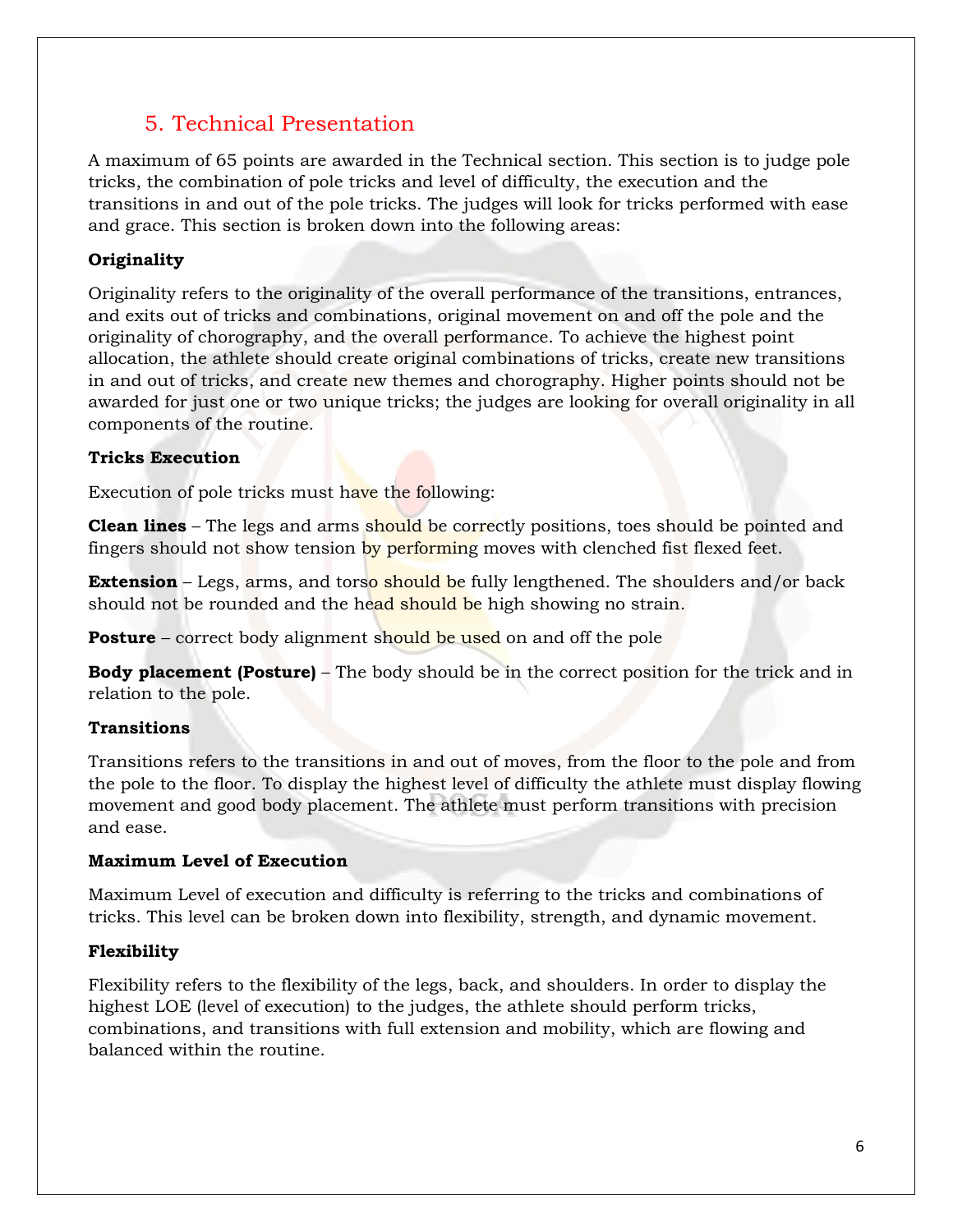### 5. Technical Presentation

A maximum of 65 points are awarded in the Technical section. This section is to judge pole tricks, the combination of pole tricks and level of difficulty, the execution and the transitions in and out of the pole tricks. The judges will look for tricks performed with ease and grace. This section is broken down into the following areas:

### **Originality**

Originality refers to the originality of the overall performance of the transitions, entrances, and exits out of tricks and combinations, original movement on and off the pole and the originality of chorography, and the overall performance. To achieve the highest point allocation, the athlete should create original combinations of tricks, create new transitions in and out of tricks, and create new themes and chorography. Higher points should not be awarded for just one or two unique tricks; the judges are looking for overall originality in all components of the routine.

### **Tricks Execution**

Execution of pole tricks must have the following:

**Clean lines** – The legs and arms should be correctly positions, toes should be pointed and fingers should not show tension by performing moves with clenched fist flexed feet.

**Extension** – Legs, arms, and torso should be fully lengthened. The shoulders and/or back should not be rounded and the head should be high showing no strain.

**Posture** – correct body alignment should be used on and off the pole

**Body placement (Posture)** – The body should be in the correct position for the trick and in relation to the pole.

### **Transitions**

Transitions refers to the transitions in and out of moves, from the floor to the pole and from the pole to the floor. To display the highest level of difficulty the athlete must display flowing movement and good body placement. The athlete must perform transitions with precision and ease.

### **Maximum Level of Execution**

Maximum Level of execution and difficulty is referring to the tricks and combinations of tricks. This level can be broken down into flexibility, strength, and dynamic movement.

### **Flexibility**

Flexibility refers to the flexibility of the legs, back, and shoulders. In order to display the highest LOE (level of execution) to the judges, the athlete should perform tricks, combinations, and transitions with full extension and mobility, which are flowing and balanced within the routine.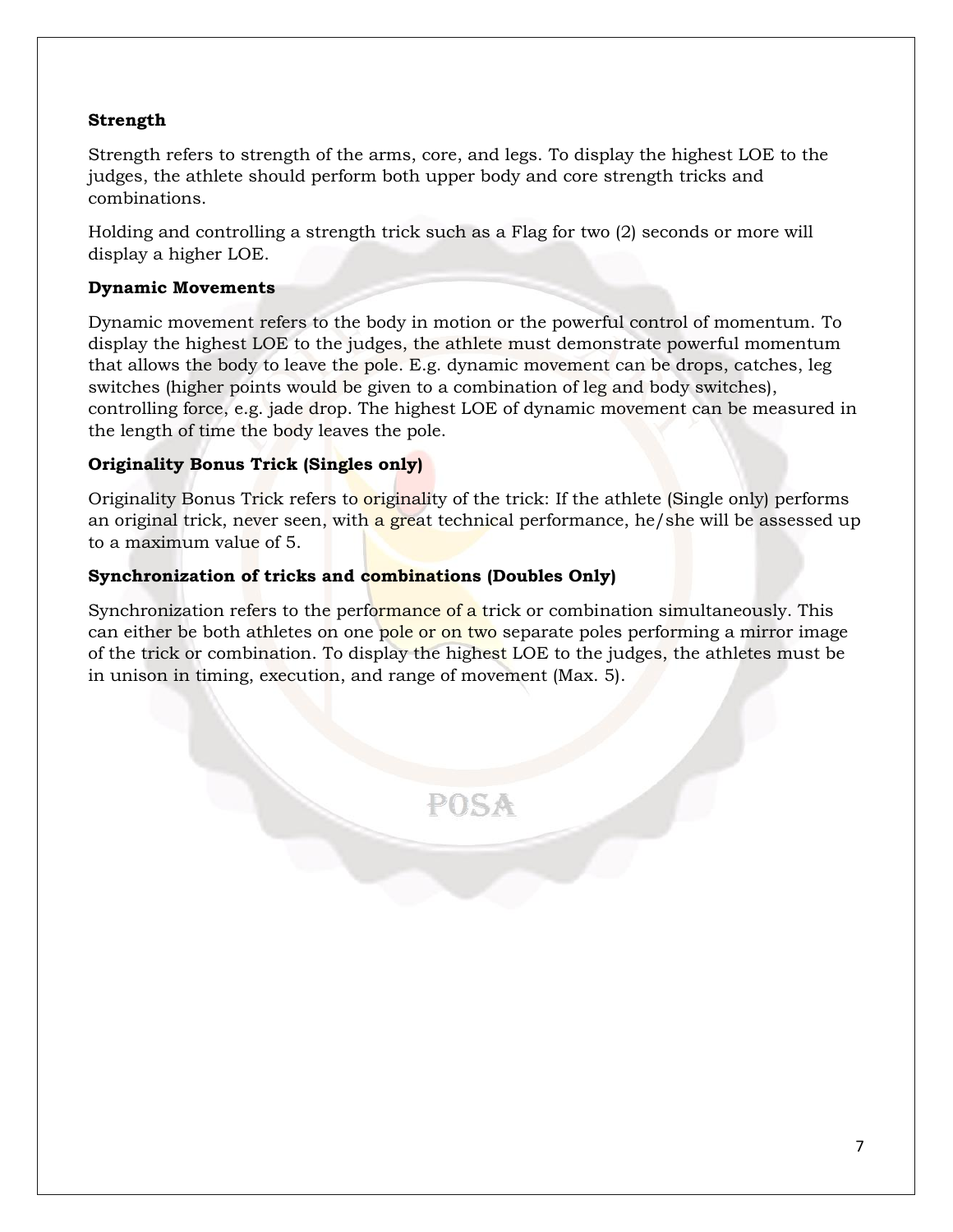### **Strength**

Strength refers to strength of the arms, core, and legs. To display the highest LOE to the judges, the athlete should perform both upper body and core strength tricks and combinations.

Holding and controlling a strength trick such as a Flag for two (2) seconds or more will display a higher LOE.

#### **Dynamic Movements**

Dynamic movement refers to the body in motion or the powerful control of momentum. To display the highest LOE to the judges, the athlete must demonstrate powerful momentum that allows the body to leave the pole. E.g. dynamic movement can be drops, catches, leg switches (higher points would be given to a combination of leg and body switches), controlling force, e.g. jade drop. The highest LOE of dynamic movement can be measured in the length of time the body leaves the pole.

### **Originality Bonus Trick (Singles only)**

Originality Bonus Trick refers to originality of the trick: If the athlete (Single only) performs an original trick, never seen, with a great technical performance, he/she will be assessed up to a maximum value of 5.

### **Synchronization of tricks and combinations (Doubles Only)**

Synchronization refers to the performance of a trick or combination simultaneously. This can either be both athletes on one pole or on two separate poles performing a mirror image of the trick or combination. To display the highest LOE to the judges, the athletes must be in unison in timing, execution, and range of movement (Max. 5).

POSA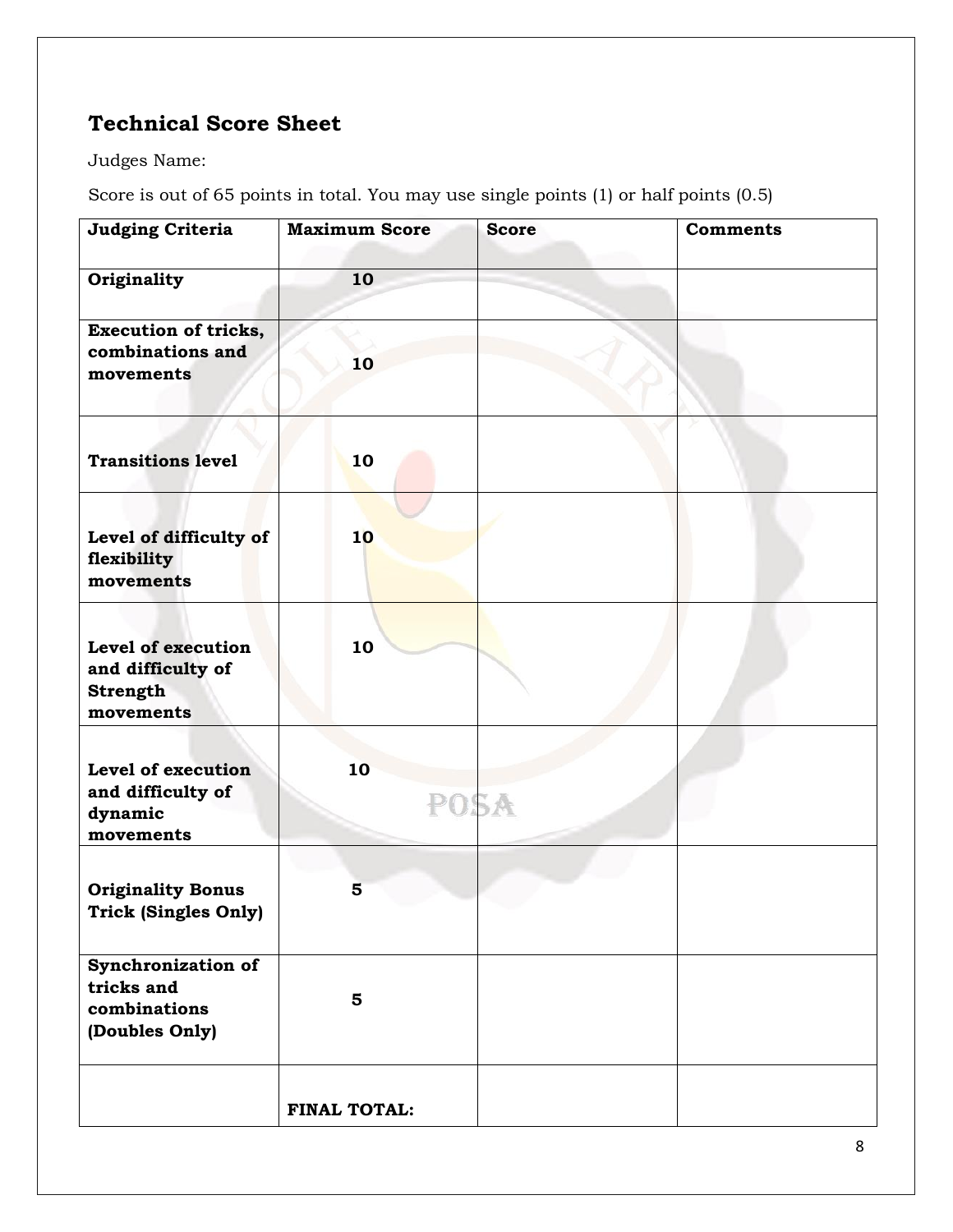### **Technical Score Sheet**

Judges Name:

Score is out of 65 points in total. You may use single points (1) or half points (0.5)

| <b>Judging Criteria</b>                                                 | <b>Maximum Score</b>    | <b>Score</b> | <b>Comments</b> |
|-------------------------------------------------------------------------|-------------------------|--------------|-----------------|
| Originality                                                             | 10                      |              |                 |
| <b>Execution of tricks,</b><br>combinations and<br>movements            | 10                      |              |                 |
| <b>Transitions level</b>                                                | 10                      |              |                 |
| Level of difficulty of<br>flexibility<br>movements                      | 10                      |              |                 |
| Level of execution<br>and difficulty of<br><b>Strength</b><br>movements | 10                      |              |                 |
| Level of execution<br>and difficulty of<br>dynamic<br>movements         | 10                      | POSA         |                 |
| <b>Originality Bonus</b><br><b>Trick (Singles Only)</b>                 | 5                       |              |                 |
| Synchronization of<br>tricks and<br>combinations<br>(Doubles Only)      | $\overline{\mathbf{5}}$ |              |                 |
|                                                                         | <b>FINAL TOTAL:</b>     |              |                 |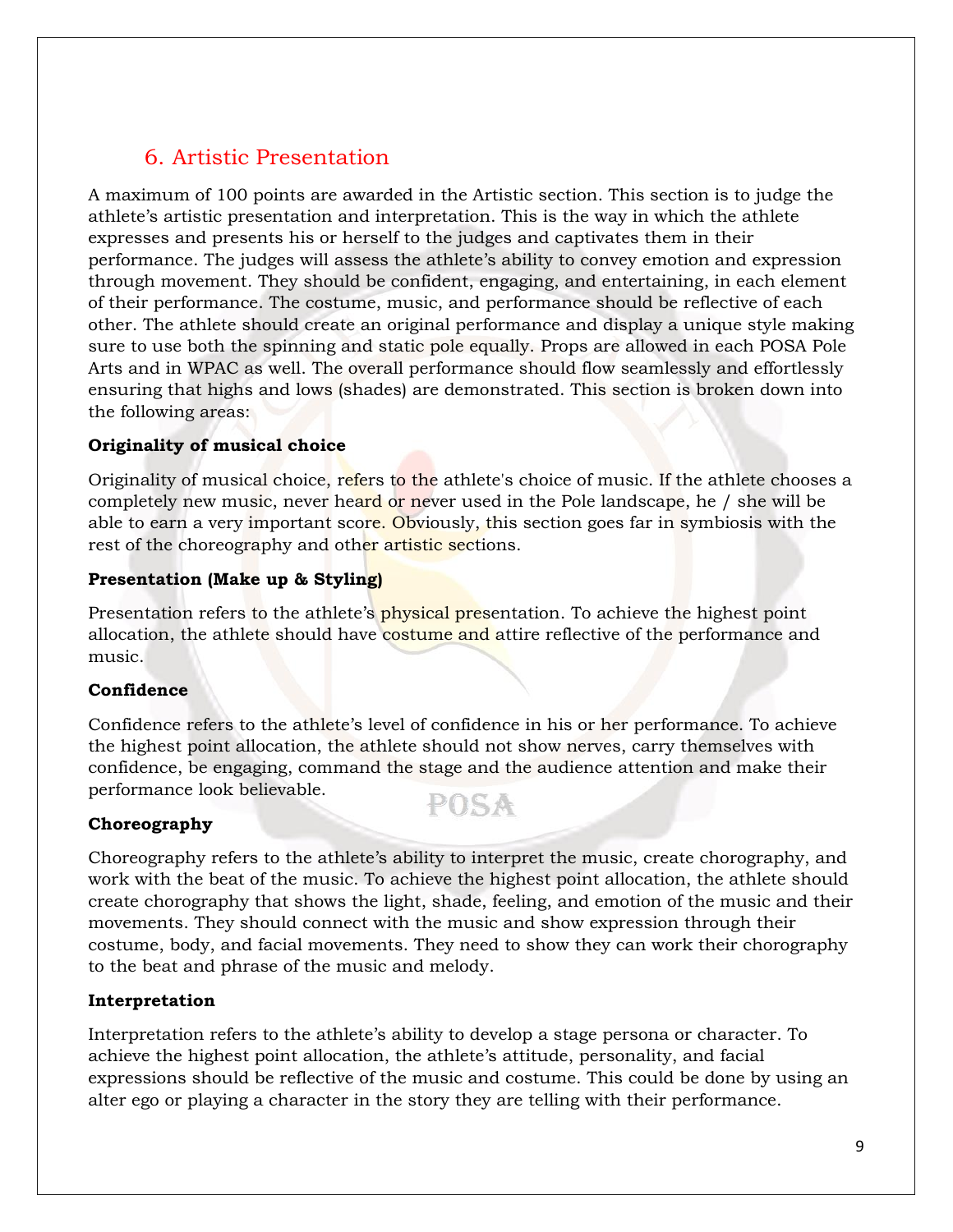### 6. Artistic Presentation

A maximum of 100 points are awarded in the Artistic section. This section is to judge the athlete's artistic presentation and interpretation. This is the way in which the athlete expresses and presents his or herself to the judges and captivates them in their performance. The judges will assess the athlete's ability to convey emotion and expression through movement. They should be confident, engaging, and entertaining, in each element of their performance. The costume, music, and performance should be reflective of each other. The athlete should create an original performance and display a unique style making sure to use both the spinning and static pole equally. Props are allowed in each POSA Pole Arts and in WPAC as well. The overall performance should flow seamlessly and effortlessly ensuring that highs and lows (shades) are demonstrated. This section is broken down into the following areas:

#### **Originality of musical choice**

Originality of musical choice, refers to the athlete's choice of music. If the athlete chooses a completely new music, never heard or never used in the Pole landscape, he / she will be able to earn a very important score. Obviously, this section goes far in symbiosis with the rest of the choreography and other artistic sections.

#### **Presentation (Make up & Styling)**

Presentation refers to the athlete's **physical presentation**. To achieve the highest point allocation, the athlete should have costume and attire reflective of the performance and music.

#### **Confidence**

Confidence refers to the athlete's level of confidence in his or her performance. To achieve the highest point allocation, the athlete should not show nerves, carry themselves with confidence, be engaging, command the stage and the audience attention and make their performance look believable. POSA

#### **Choreography**

Choreography refers to the athlete's ability to interpret the music, create chorography, and work with the beat of the music. To achieve the highest point allocation, the athlete should create chorography that shows the light, shade, feeling, and emotion of the music and their movements. They should connect with the music and show expression through their costume, body, and facial movements. They need to show they can work their chorography to the beat and phrase of the music and melody.

#### **Interpretation**

Interpretation refers to the athlete's ability to develop a stage persona or character. To achieve the highest point allocation, the athlete's attitude, personality, and facial expressions should be reflective of the music and costume. This could be done by using an alter ego or playing a character in the story they are telling with their performance.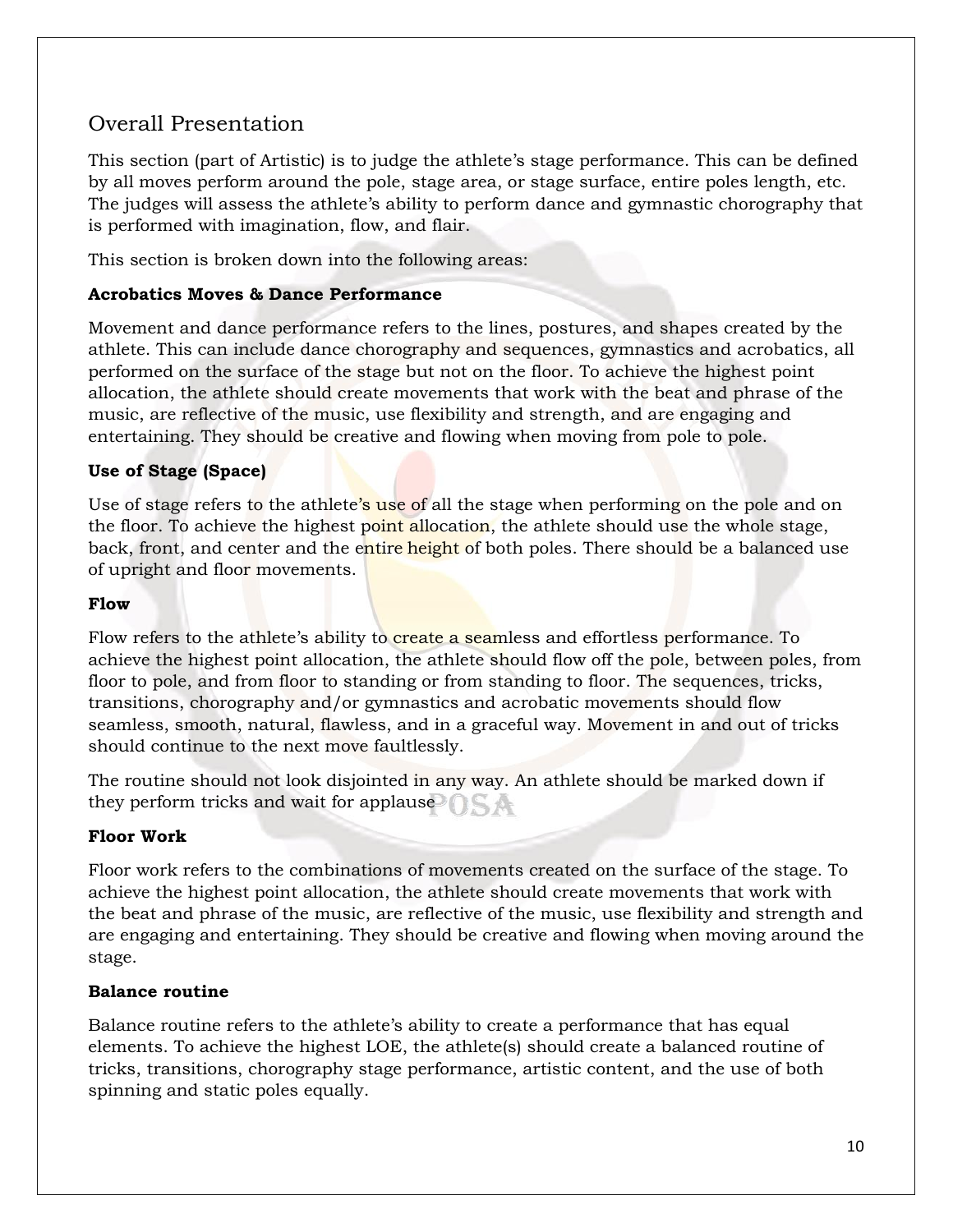### Overall Presentation

This section (part of Artistic) is to judge the athlete's stage performance. This can be defined by all moves perform around the pole, stage area, or stage surface, entire poles length, etc. The judges will assess the athlete's ability to perform dance and gymnastic chorography that is performed with imagination, flow, and flair.

This section is broken down into the following areas:

### **Acrobatics Moves & Dance Performance**

Movement and dance performance refers to the lines, postures, and shapes created by the athlete. This can include dance chorography and sequences, gymnastics and acrobatics, all performed on the surface of the stage but not on the floor. To achieve the highest point allocation, the athlete should create movements that work with the beat and phrase of the music, are reflective of the music, use flexibility and strength, and are engaging and entertaining. They should be creative and flowing when moving from pole to pole.

### **Use of Stage (Space)**

Use of stage refers to the athlete's use of all the stage when performing on the pole and on the floor. To achieve the highest point allocation, the athlete should use the whole stage, back, front, and center and the entire height of both poles. There should be a balanced use of upright and floor movements.

#### **Flow**

Flow refers to the athlete's ability to create a seamless and effortless performance. To achieve the highest point allocation, the athlete should flow off the pole, between poles, from floor to pole, and from floor to standing or from standing to floor. The sequences, tricks, transitions, chorography and/or gymnastics and acrobatic movements should flow seamless, smooth, natural, flawless, and in a graceful way. Movement in and out of tricks should continue to the next move faultlessly.

The routine should not look disjointed in any way. An athlete should be marked down if they perform tricks and wait for applause

### **Floor Work**

Floor work refers to the combinations of movements created on the surface of the stage. To achieve the highest point allocation, the athlete should create movements that work with the beat and phrase of the music, are reflective of the music, use flexibility and strength and are engaging and entertaining. They should be creative and flowing when moving around the stage.

#### **Balance routine**

Balance routine refers to the athlete's ability to create a performance that has equal elements. To achieve the highest LOE, the athlete(s) should create a balanced routine of tricks, transitions, chorography stage performance, artistic content, and the use of both spinning and static poles equally.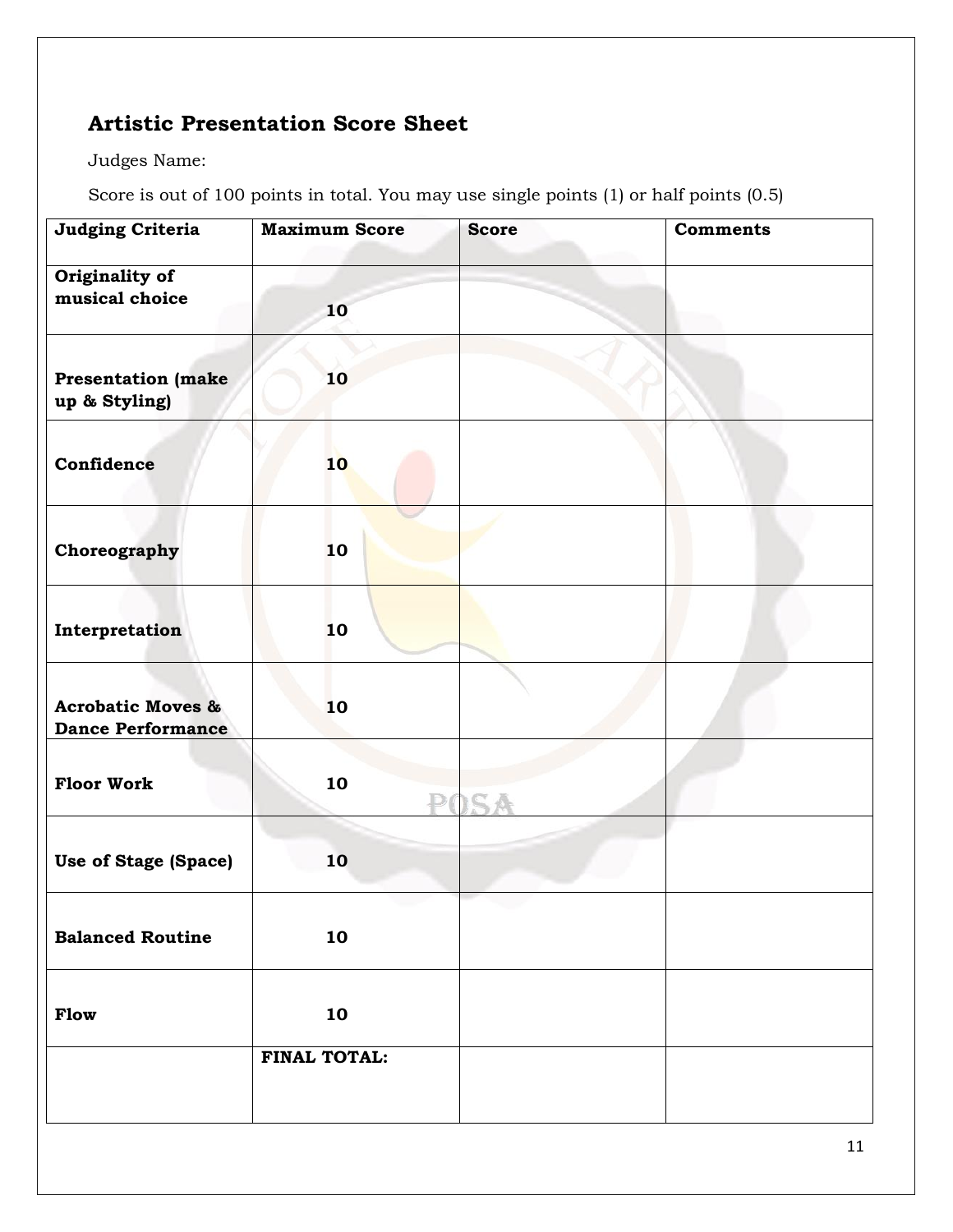### **Artistic Presentation Score Sheet**

Judges Name:

Score is out of 100 points in total. You may use single points (1) or half points (0.5)

| <b>Judging Criteria</b>                                  | <b>Maximum Score</b> | <b>Score</b>            | <b>Comments</b> |
|----------------------------------------------------------|----------------------|-------------------------|-----------------|
| Originality of<br>musical choice                         | 10                   |                         |                 |
| <b>Presentation (make)</b><br>up & Styling)              | 10                   |                         |                 |
| Confidence                                               | 10                   |                         |                 |
| Choreography                                             | 10                   |                         |                 |
| Interpretation                                           | 10                   |                         |                 |
| <b>Acrobatic Moves &amp;</b><br><b>Dance Performance</b> | 10                   |                         |                 |
| <b>Floor Work</b>                                        | 10                   | $\mathbf{D} \mathbf{Q}$ |                 |
| <b>Use of Stage (Space)</b>                              | 10                   |                         |                 |
| <b>Balanced Routine</b>                                  | 10                   |                         |                 |
| Flow                                                     | 10                   |                         |                 |
|                                                          | <b>FINAL TOTAL:</b>  |                         |                 |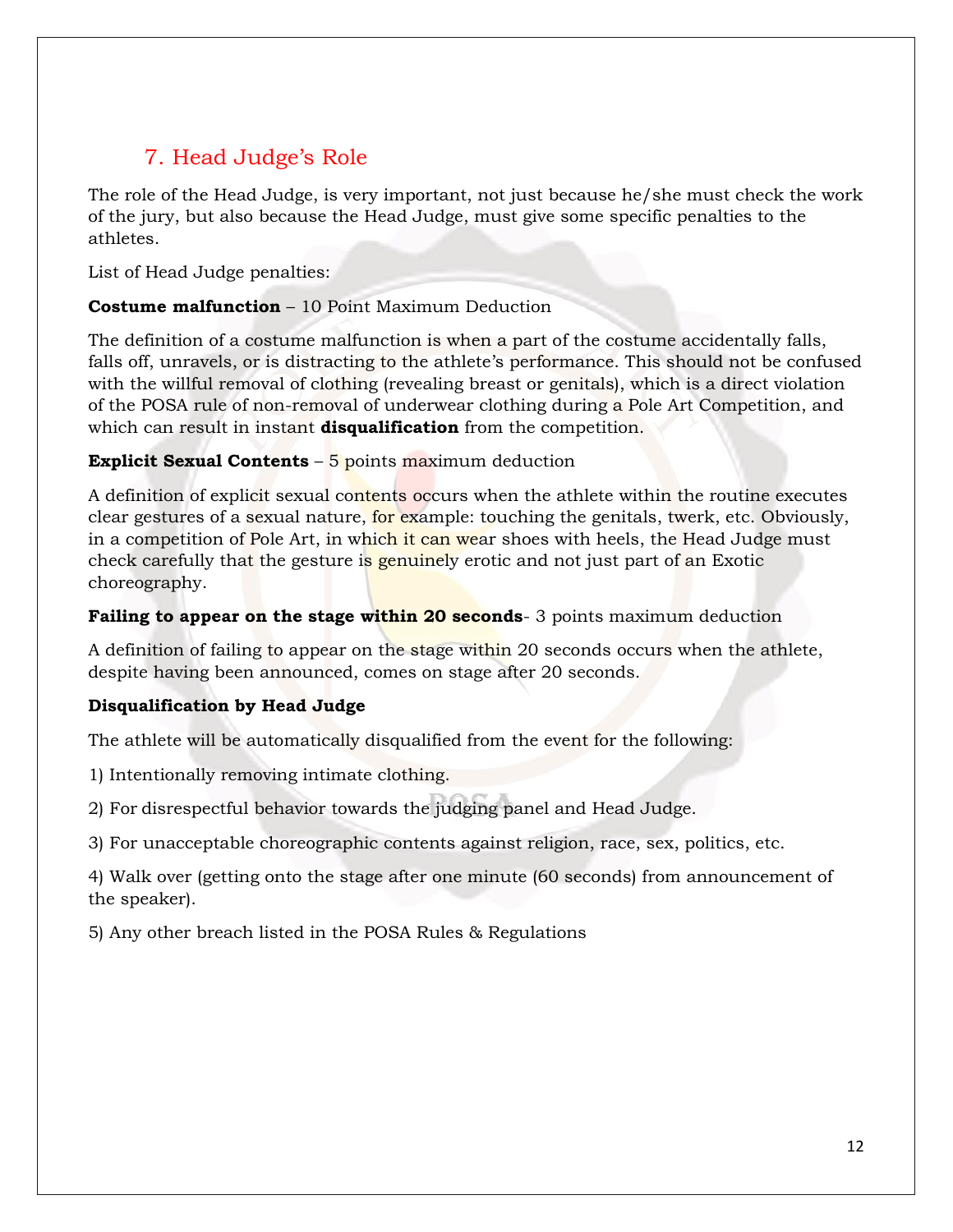### 7. Head Judge's Role

The role of the Head Judge, is very important, not just because he/she must check the work of the jury, but also because the Head Judge, must give some specific penalties to the athletes.

List of Head Judge penalties:

### **Costume malfunction** – 10 Point Maximum Deduction

The definition of a costume malfunction is when a part of the costume accidentally falls, falls off, unravels, or is distracting to the athlete's performance. This should not be confused with the willful removal of clothing (revealing breast or genitals), which is a direct violation of the POSA rule of non-removal of underwear clothing during a Pole Art Competition, and which can result in instant **disqualification** from the competition.

### **Explicit Sexual Contents** – 5 points maximum deduction

A definition of explicit sexual contents occurs when the athlete within the routine executes clear gestures of a sexual nature, for example: touching the genitals, twerk, etc. Obviously, in a competition of Pole Art, in which it can wear shoes with heels, the Head Judge must check carefully that the gesture is genuinely erotic and not just part of an Exotic choreography.

### **Failing to appear on the stage within 20 seconds**- 3 points maximum deduction

A definition of failing to appear on the stage within 20 seconds occurs when the athlete, despite having been announced, comes on stage after 20 seconds.

### **Disqualification by Head Judge**

The athlete will be automatically disqualified from the event for the following:

1) Intentionally removing intimate clothing.

2) For disrespectful behavior towards the judging panel and Head Judge.

3) For unacceptable choreographic contents against religion, race, sex, politics, etc.

4) Walk over (getting onto the stage after one minute (60 seconds) from announcement of the speaker).

5) Any other breach listed in the POSA Rules & Regulations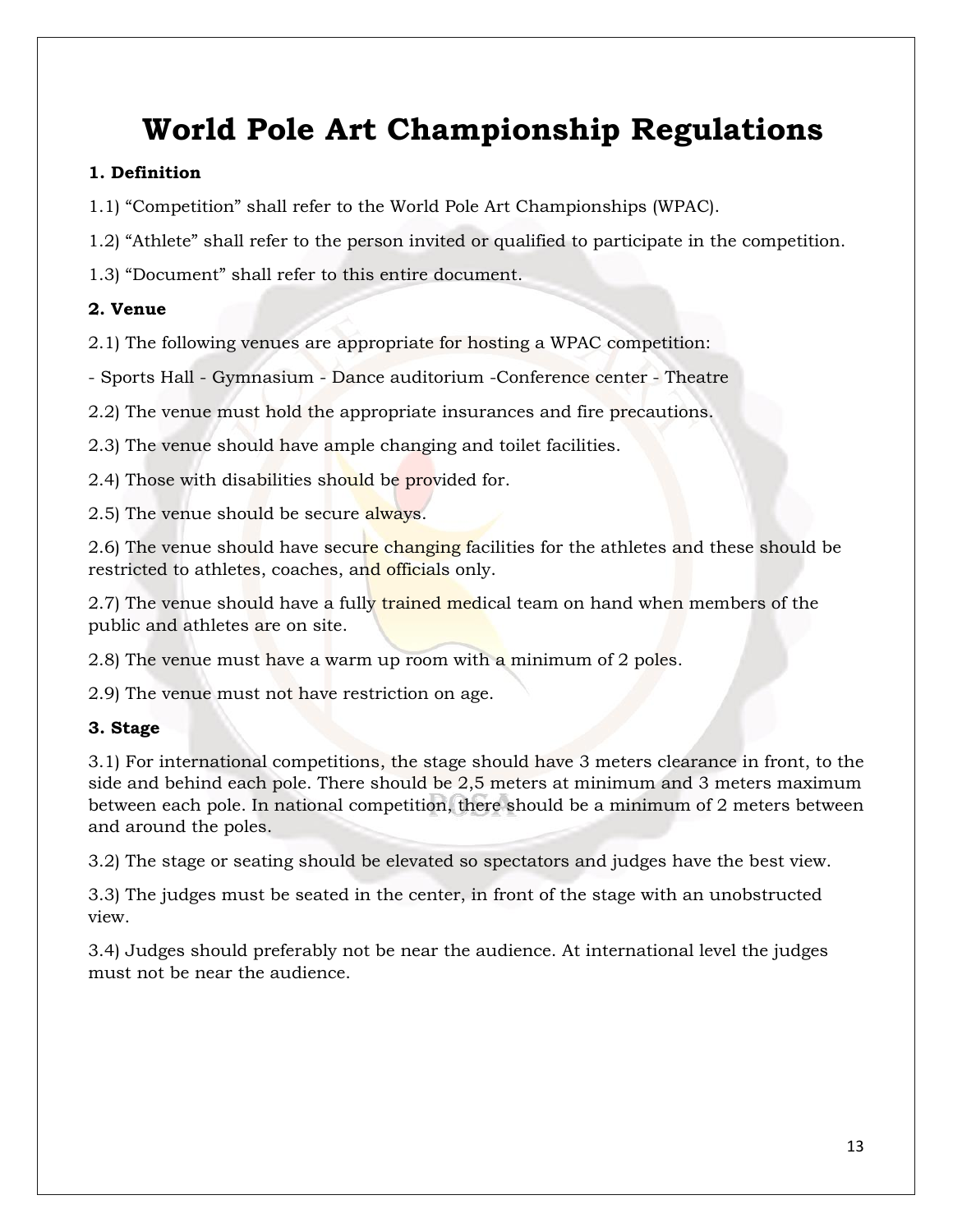## **World Pole Art Championship Regulations**

### **1. Definition**

1.1) "Competition" shall refer to the World Pole Art Championships (WPAC).

1.2) "Athlete" shall refer to the person invited or qualified to participate in the competition.

1.3) "Document" shall refer to this entire document.

### **2. Venue**

2.1) The following venues are appropriate for hosting a WPAC competition:

- Sports Hall - Gymnasium - Dance auditorium -Conference center - Theatre

2.2) The venue must hold the appropriate insurances and fire precautions.

2.3) The venue should have ample changing and toilet facilities.

2.4) Those with disabilities should be provided for.

2.5) The venue should be secure always.

2.6) The venue should have secure changing facilities for the athletes and these should be restricted to athletes, coaches, and officials only.

2.7) The venue should have a fully trained medical team on hand when members of the public and athletes are on site.

2.8) The venue must have a warm up room with a minimum of 2 poles.

2.9) The venue must not have restriction on age.

### **3. Stage**

3.1) For international competitions, the stage should have 3 meters clearance in front, to the side and behind each pole. There should be 2,5 meters at minimum and 3 meters maximum between each pole. In national competition, there should be a minimum of 2 meters between and around the poles.

3.2) The stage or seating should be elevated so spectators and judges have the best view.

3.3) The judges must be seated in the center, in front of the stage with an unobstructed view.

3.4) Judges should preferably not be near the audience. At international level the judges must not be near the audience.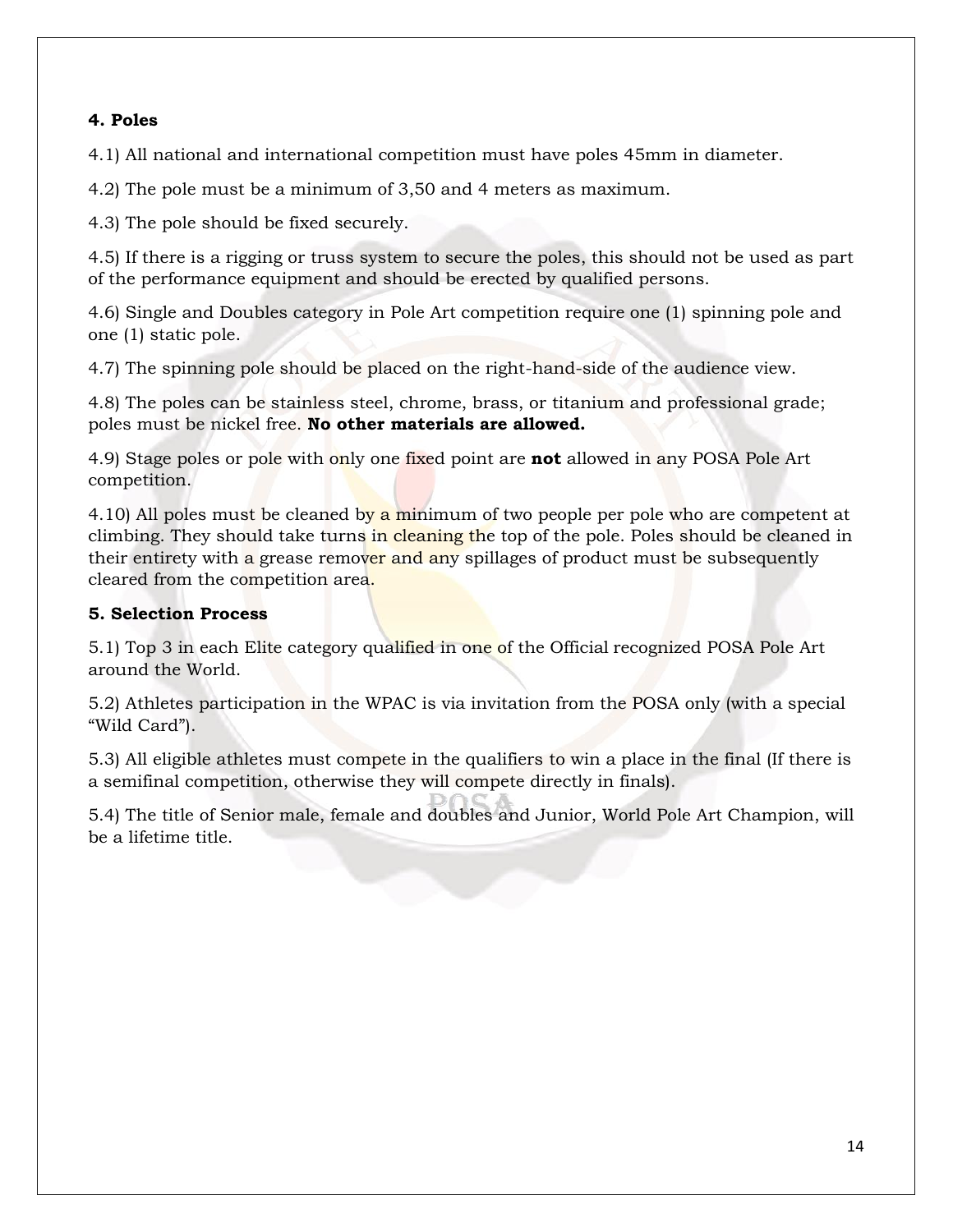### **4. Poles**

4.1) All national and international competition must have poles 45mm in diameter.

4.2) The pole must be a minimum of 3,50 and 4 meters as maximum.

4.3) The pole should be fixed securely.

4.5) If there is a rigging or truss system to secure the poles, this should not be used as part of the performance equipment and should be erected by qualified persons.

4.6) Single and Doubles category in Pole Art competition require one (1) spinning pole and one (1) static pole.

4.7) The spinning pole should be placed on the right-hand-side of the audience view.

4.8) The poles can be stainless steel, chrome, brass, or titanium and professional grade; poles must be nickel free. **No other materials are allowed.**

4.9) Stage poles or pole with only one fixed point are **not** allowed in any POSA Pole Art competition.

4.10) All poles must be cleaned by a minimum of two people per pole who are competent at climbing. They should take turns in cleaning the top of the pole. Poles should be cleaned in their entirety with a grease remover and any spillages of product must be subsequently cleared from the competition area.

#### **5. Selection Process**

5.1) Top 3 in each Elite category qualified in one of the Official recognized POSA Pole Art around the World.

5.2) Athletes participation in the WPAC is via invitation from the POSA only (with a special "Wild Card").

5.3) All eligible athletes must compete in the qualifiers to win a place in the final (If there is a semifinal competition, otherwise they will compete directly in finals).

5.4) The title of Senior male, female and doubles and Junior, World Pole Art Champion, will be a lifetime title.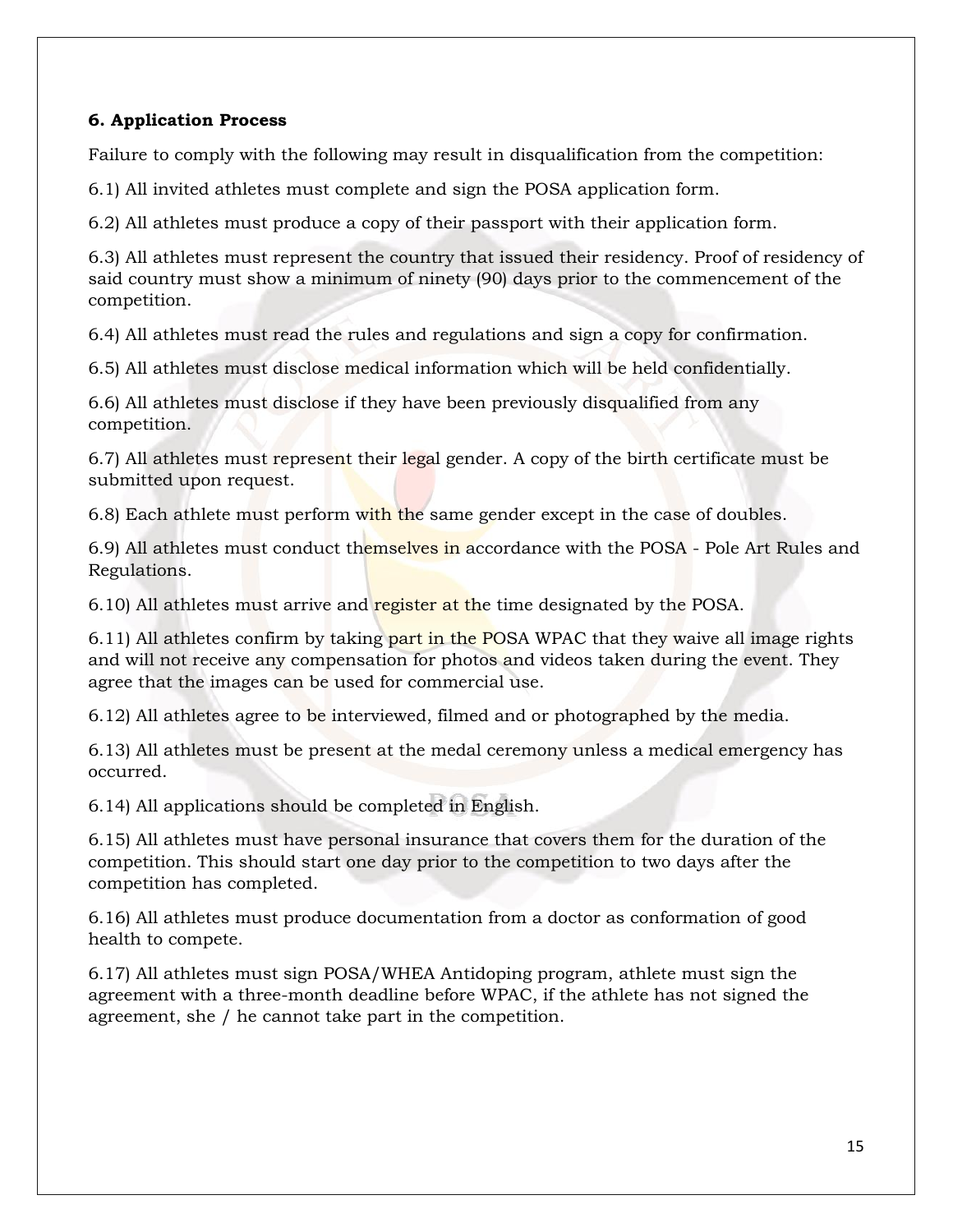### **6. Application Process**

Failure to comply with the following may result in disqualification from the competition:

6.1) All invited athletes must complete and sign the POSA application form.

6.2) All athletes must produce a copy of their passport with their application form.

6.3) All athletes must represent the country that issued their residency. Proof of residency of said country must show a minimum of ninety (90) days prior to the commencement of the competition.

6.4) All athletes must read the rules and regulations and sign a copy for confirmation.

6.5) All athletes must disclose medical information which will be held confidentially.

6.6) All athletes must disclose if they have been previously disqualified from any competition.

6.7) All athletes must represent their legal gender. A copy of the birth certificate must be submitted upon request.

6.8) Each athlete must perform with the same gender except in the case of doubles.

6.9) All athletes must conduct themselves in accordance with the POSA - Pole Art Rules and Regulations.

6.10) All athletes must arrive and register at the time designated by the POSA.

6.11) All athletes confirm by taking part in the POSA WPAC that they waive all image rights and will not receive any compensation for photos and videos taken during the event. They agree that the images can be used for commercial use.

6.12) All athletes agree to be interviewed, filmed and or photographed by the media.

6.13) All athletes must be present at the medal ceremony unless a medical emergency has occurred.

6.14) All applications should be completed in English.

6.15) All athletes must have personal insurance that covers them for the duration of the competition. This should start one day prior to the competition to two days after the competition has completed.

6.16) All athletes must produce documentation from a doctor as conformation of good health to compete.

6.17) All athletes must sign POSA/WHEA Antidoping program, athlete must sign the agreement with a three-month deadline before WPAC, if the athlete has not signed the agreement, she / he cannot take part in the competition.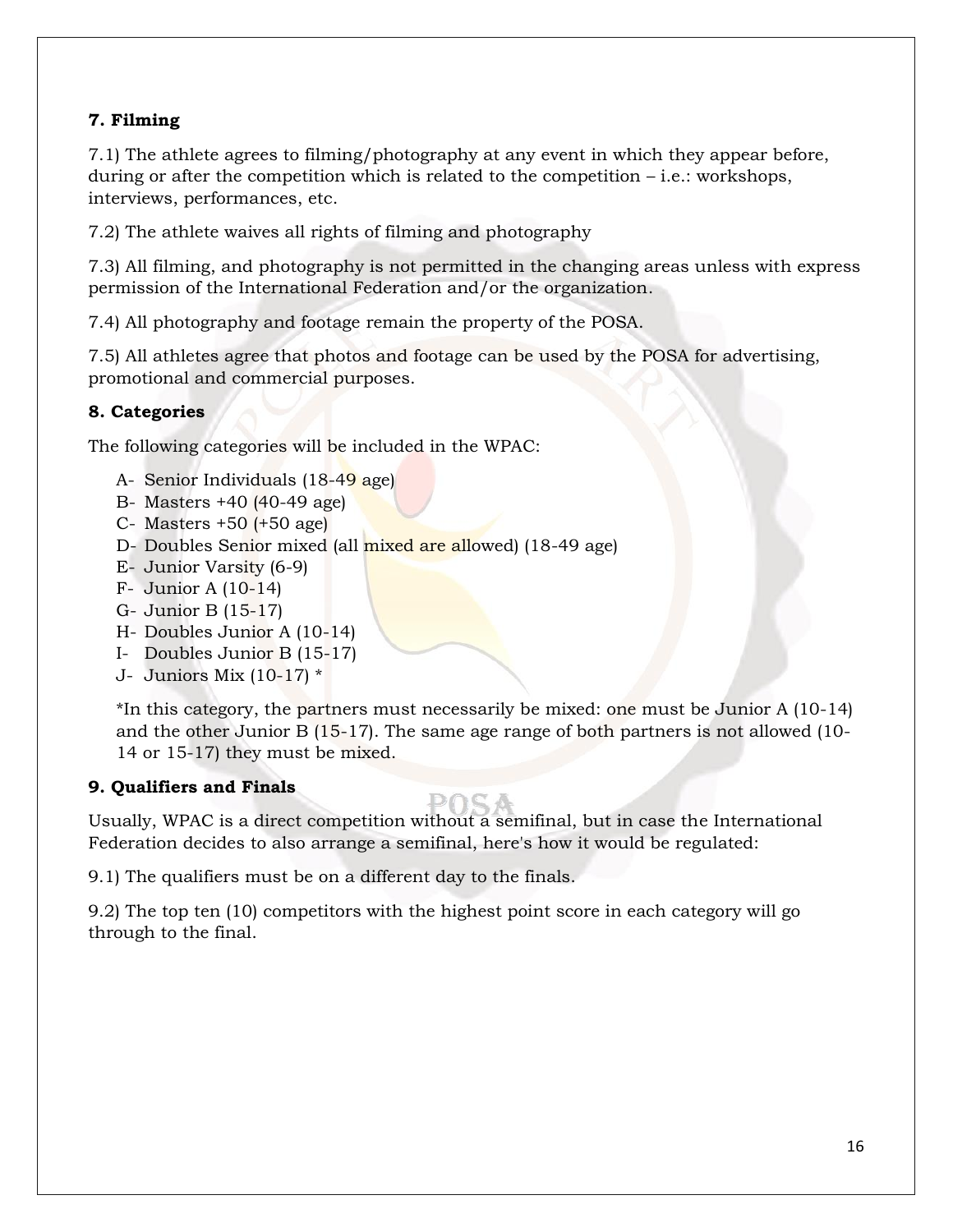### **7. Filming**

7.1) The athlete agrees to filming/photography at any event in which they appear before, during or after the competition which is related to the competition  $-i.e.:$  workshops, interviews, performances, etc.

7.2) The athlete waives all rights of filming and photography

7.3) All filming, and photography is not permitted in the changing areas unless with express permission of the International Federation and/or the organization.

7.4) All photography and footage remain the property of the POSA.

7.5) All athletes agree that photos and footage can be used by the POSA for advertising, promotional and commercial purposes.

### **8. Categories**

The following categories will be included in the WPAC:

- A- Senior Individuals (18-49 age)
- B- Masters +40 (40-49 age)
- C- Masters +50 (+50 age)
- D- Doubles Senior mixed (all mixed are allowed) (18-49 age)
- E- Junior Varsity (6-9)
- F- Junior A (10-14)
- G- Junior B (15-17)
- H- Doubles Junior A (10-14)
- I- Doubles Junior B (15-17)
- J- Juniors Mix (10-17) \*

\*In this category, the partners must necessarily be mixed: one must be Junior A (10-14) and the other Junior B (15-17). The same age range of both partners is not allowed (10- 14 or 15-17) they must be mixed.

### **9. Qualifiers and Finals**

Usually, WPAC is a direct competition without a semifinal, but in case the International Federation decides to also arrange a semifinal, here's how it would be regulated:

9.1) The qualifiers must be on a different day to the finals.

9.2) The top ten (10) competitors with the highest point score in each category will go through to the final.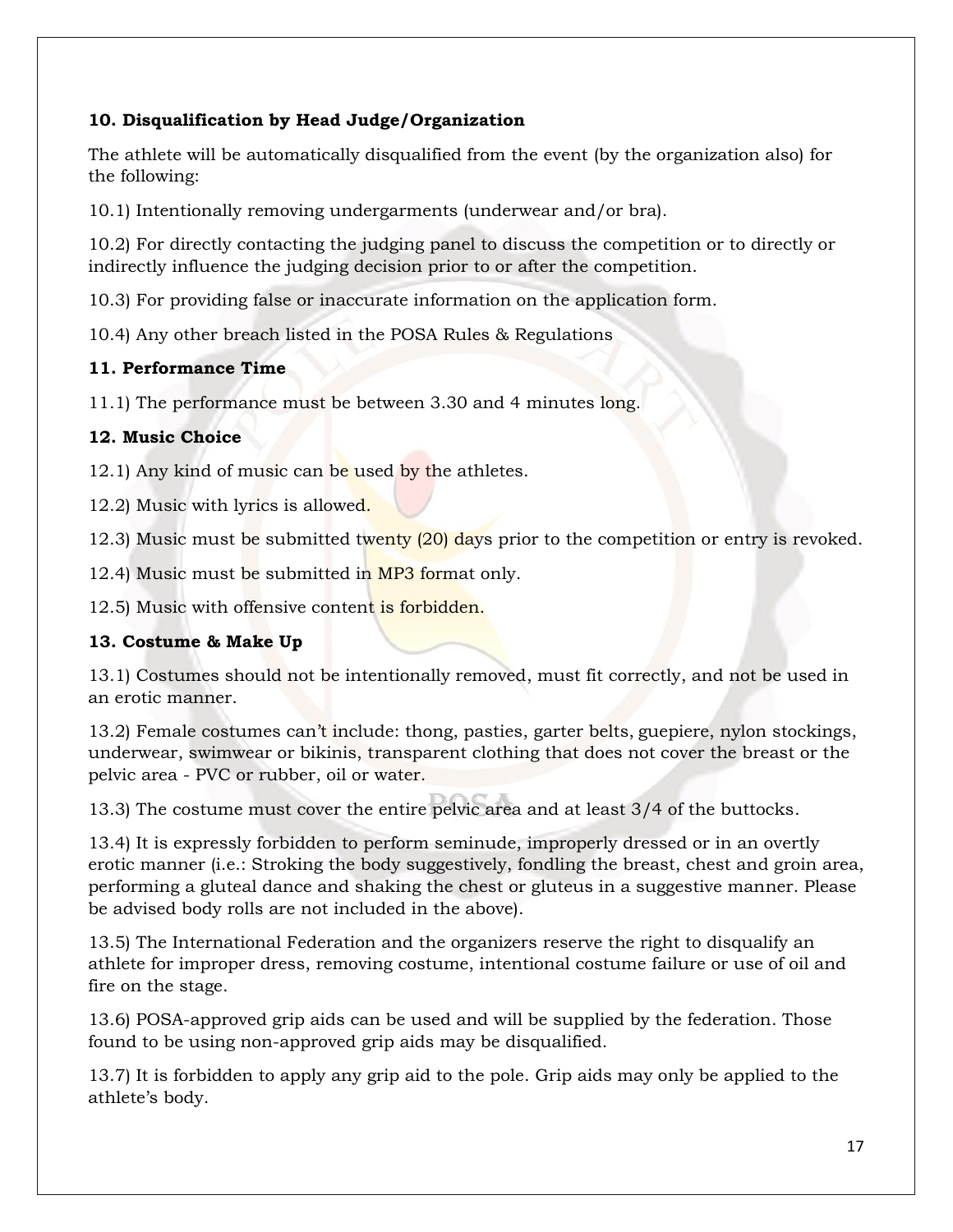### **10. Disqualification by Head Judge/Organization**

The athlete will be automatically disqualified from the event (by the organization also) for the following:

10.1) Intentionally removing undergarments (underwear and/or bra).

10.2) For directly contacting the judging panel to discuss the competition or to directly or indirectly influence the judging decision prior to or after the competition.

10.3) For providing false or inaccurate information on the application form.

10.4) Any other breach listed in the POSA Rules & Regulations

### **11. Performance Time**

11.1) The performance must be between 3.30 and 4 minutes long.

### **12. Music Choice**

12.1) Any kind of music can be used by the athletes.

12.2) Music with lyrics is allowed.

12.3) Music must be submitted twenty (20) days prior to the competition or entry is revoked.

12.4) Music must be submitted in MP3 format only.

12.5) Music with offensive content is forbidden.

### **13. Costume & Make Up**

13.1) Costumes should not be intentionally removed, must fit correctly, and not be used in an erotic manner.

13.2) Female costumes can't include: thong, pasties, garter belts, guepiere, nylon stockings, underwear, swimwear or bikinis, transparent clothing that does not cover the breast or the pelvic area - PVC or rubber, oil or water.

13.3) The costume must cover the entire pelvic area and at least 3/4 of the buttocks.

13.4) It is expressly forbidden to perform seminude, improperly dressed or in an overtly erotic manner (i.e.: Stroking the body suggestively, fondling the breast, chest and groin area, performing a gluteal dance and shaking the chest or gluteus in a suggestive manner. Please be advised body rolls are not included in the above).

13.5) The International Federation and the organizers reserve the right to disqualify an athlete for improper dress, removing costume, intentional costume failure or use of oil and fire on the stage.

13.6) POSA-approved grip aids can be used and will be supplied by the federation. Those found to be using non-approved grip aids may be disqualified.

13.7) It is forbidden to apply any grip aid to the pole. Grip aids may only be applied to the athlete's body.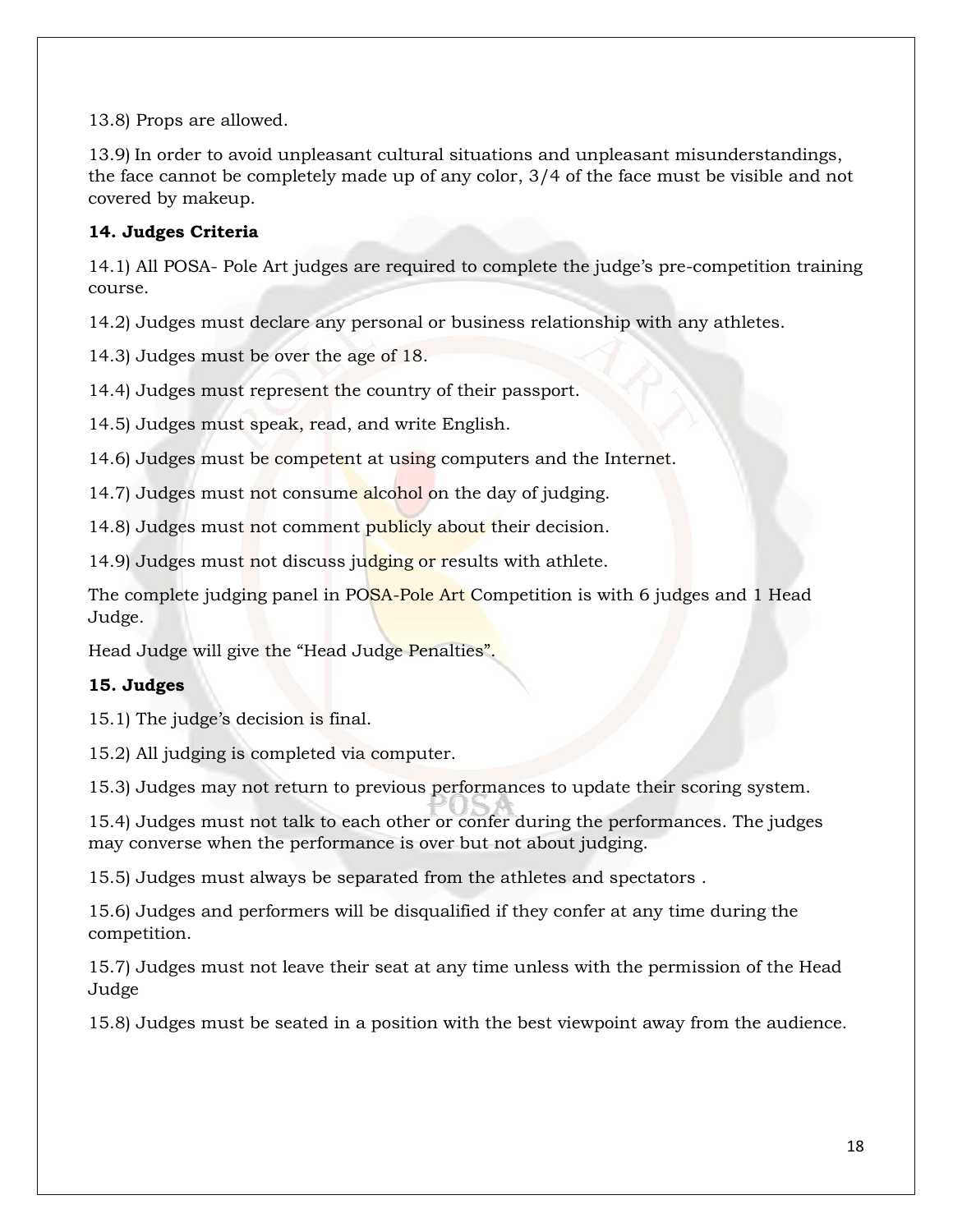13.8) Props are allowed.

13.9) In order to avoid unpleasant cultural situations and unpleasant misunderstandings, the face cannot be completely made up of any color, 3/4 of the face must be visible and not covered by makeup.

### **14. Judges Criteria**

14.1) All POSA- Pole Art judges are required to complete the judge's pre-competition training course.

14.2) Judges must declare any personal or business relationship with any athletes.

14.3) Judges must be over the age of 18.

14.4) Judges must represent the country of their passport.

14.5) Judges must speak, read, and write English.

14.6) Judges must be competent at using computers and the Internet.

14.7) Judges must not consume alcohol on the day of judging.

14.8) Judges must not comment publicly about their decision.

14.9) Judges must not discuss judging or results with athlete.

The complete judging panel in POSA-Pole Art Competition is with 6 judges and 1 Head Judge.

Head Judge will give the "Head Judge Penalties".

### **15. Judges**

15.1) The judge's decision is final.

15.2) All judging is completed via computer.

15.3) Judges may not return to previous performances to update their scoring system.

15.4) Judges must not talk to each other or confer during the performances. The judges may converse when the performance is over but not about judging.

15.5) Judges must always be separated from the athletes and spectators .

15.6) Judges and performers will be disqualified if they confer at any time during the competition.

15.7) Judges must not leave their seat at any time unless with the permission of the Head Judge

15.8) Judges must be seated in a position with the best viewpoint away from the audience.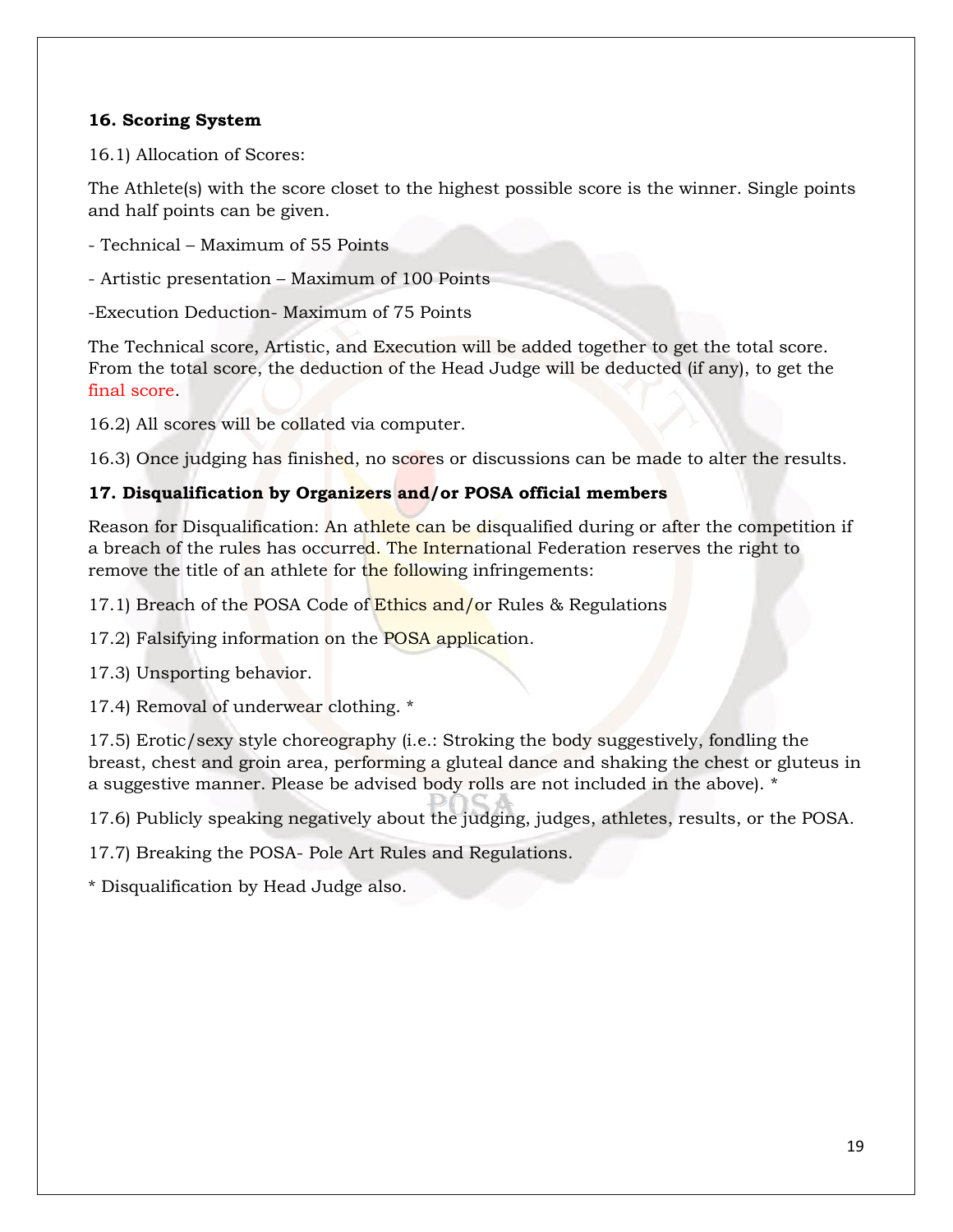### **16. Scoring System**

16.1) Allocation of Scores:

The Athlete(s) with the score closet to the highest possible score is the winner. Single points and half points can be given.

- Technical – Maximum of 55 Points

- Artistic presentation – Maximum of 100 Points

-Execution Deduction- Maximum of 75 Points

The Technical score, Artistic, and Execution will be added together to get the total score. From the total score, the deduction of the Head Judge will be deducted (if any), to get the final score.

16.2) All scores will be collated via computer.

16.3) Once judging has finished, no scores or discussions can be made to alter the results.

### **17. Disqualification by Organizers and/or POSA official members**

Reason for Disqualification: An athlete can be disqualified during or after the competition if a breach of the rules has occurred. The International Federation reserves the right to remove the title of an athlete for the following infringements:

17.1) Breach of the POSA Code of Ethics and/or Rules & Regulations

17.2) Falsifying information on the POSA application.

17.3) Unsporting behavior.

17.4) Removal of underwear clothing. \*

17.5) Erotic/sexy style choreography (i.e.: Stroking the body suggestively, fondling the breast, chest and groin area, performing a gluteal dance and shaking the chest or gluteus in a suggestive manner. Please be advised body rolls are not included in the above). \*

17.6) Publicly speaking negatively about the judging, judges, athletes, results, or the POSA.

17.7) Breaking the POSA- Pole Art Rules and Regulations.

\* Disqualification by Head Judge also.